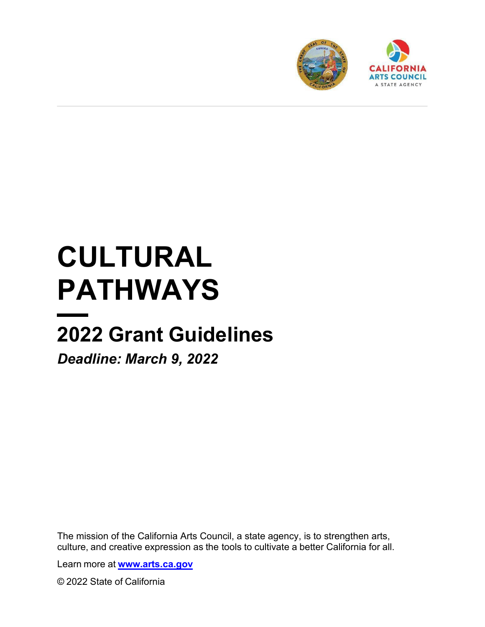

# **CULTURAL PATHWAYS**

# **2022 Grant Guidelines**

*Deadline: March 9, 2022*

The mission of the California Arts Council, a state agency, is to strengthen arts, culture, and creative expression as the tools to cultivate a better California for all.

Learn more at **[www.arts.ca.gov](https://artscac-my.sharepoint.com/personal/kimberly_brown_arts_ca_gov/Documents/www.arts.ca.gov)**

© 2022 State of California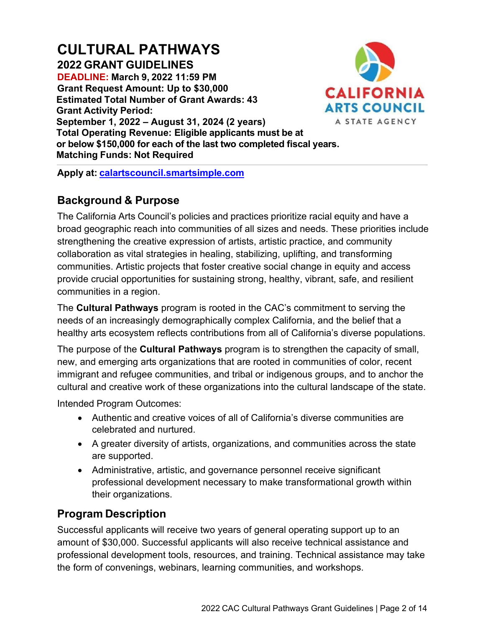# **CULTURAL PATHWAYS 2022 GRANT GUIDELINES**

**DEADLINE: March 9, 2022 11:59 PM Grant Request Amount: Up to \$30,000 Estimated Total Number of Grant Awards: 43 Grant Activity Period: September 1, 2022 – August 31, 2024 (2 years) Total Operating Revenue: Eligible applicants must be at** 



**Matching Funds: Not Required Apply at: [calartscouncil.smartsimple.com](https://calartscouncil.smartsimple.com/)**

**or below \$150,000 for each of the last two completed fiscal years.** 

# **Background & Purpose**

The California Arts Council's policies and practices prioritize racial equity and have a broad geographic reach into communities of all sizes and needs. These priorities include strengthening the creative expression of artists, artistic practice, and community collaboration as vital strategies in healing, stabilizing, uplifting, and transforming communities. Artistic projects that foster creative social change in equity and access provide crucial opportunities for sustaining strong, healthy, vibrant, safe, and resilient communities in a region.

The **Cultural Pathways** program is rooted in the CAC's commitment to serving the needs of an increasingly demographically complex California, and the belief that a healthy arts ecosystem reflects contributions from all of California's diverse populations.

The purpose of the **Cultural Pathways** program is to strengthen the capacity of small, new, and emerging arts organizations that are rooted in communities of color, recent immigrant and refugee communities, and tribal or indigenous groups, and to anchor the cultural and creative work of these organizations into the cultural landscape of the state.

Intended Program Outcomes:

- Authentic and creative voices of all of California's diverse communities are celebrated and nurtured.
- A greater diversity of artists, organizations, and communities across the state are supported.
- Administrative, artistic, and governance personnel receive significant professional development necessary to make transformational growth within their organizations.

# **Program Description**

Successful applicants will receive two years of general operating support up to an amount of \$30,000. Successful applicants will also receive technical assistance and professional development tools, resources, and training. Technical assistance may take the form of convenings, webinars, learning communities, and workshops.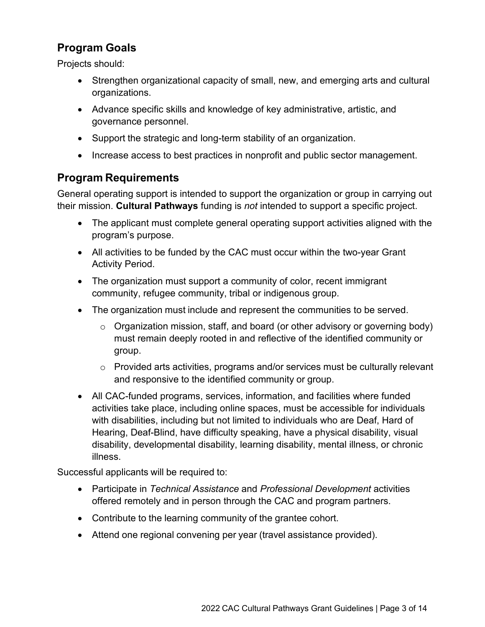# **Program Goals**

Projects should:

- Strengthen organizational capacity of small, new, and emerging arts and cultural organizations.
- Advance specific skills and knowledge of key administrative, artistic, and governance personnel.
- Support the strategic and long-term stability of an organization.
- Increase access to best practices in nonprofit and public sector management.

# **Program Requirements**

General operating support is intended to support the organization or group in carrying out their mission. **Cultural Pathways** funding is *not* intended to support a specific project.

- The applicant must complete general operating support activities aligned with the program's purpose.
- All activities to be funded by the CAC must occur within the two-year Grant Activity Period.
- The organization must support a community of color, recent immigrant community, refugee community, tribal or indigenous group.
- The organization must include and represent the communities to be served.
	- $\circ$  Organization mission, staff, and board (or other advisory or governing body) must remain deeply rooted in and reflective of the identified community or group.
	- o Provided arts activities, programs and/or services must be culturally relevant and responsive to the identified community or group.
- All CAC-funded programs, services, information, and facilities where funded activities take place, including online spaces, must be accessible for individuals with disabilities, including but not limited to individuals who are Deaf, Hard of Hearing, Deaf-Blind, have difficulty speaking, have a physical disability, visual disability, developmental disability, learning disability, mental illness, or chronic illness.

Successful applicants will be required to:

- Participate in *Technical Assistance* and *Professional Development* activities offered remotely and in person through the CAC and program partners.
- Contribute to the learning community of the grantee cohort.
- Attend one regional convening per year (travel assistance provided).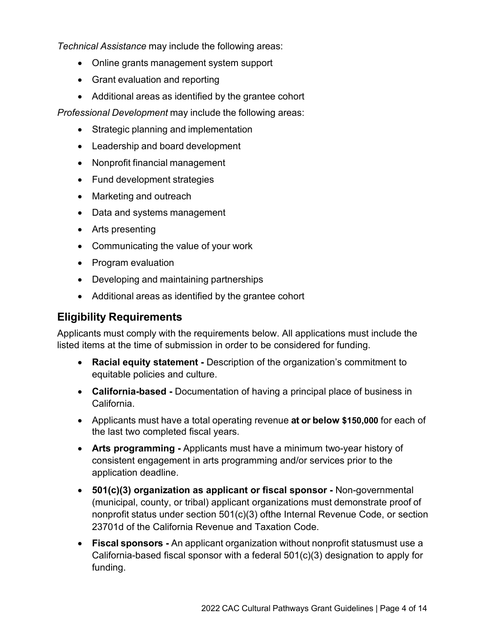*Technical Assistance* may include the following areas:

- Online grants management system support
- Grant evaluation and reporting
- Additional areas as identified by the grantee cohort

*Professional Development* may include the following areas:

- Strategic planning and implementation
- Leadership and board development
- Nonprofit financial management
- Fund development strategies
- Marketing and outreach
- Data and systems management
- Arts presenting
- Communicating the value of your work
- Program evaluation
- Developing and maintaining partnerships
- Additional areas as identified by the grantee cohort

# **Eligibility Requirements**

Applicants must comply with the requirements below. All applications must include the listed items at the time of submission in order to be considered for funding.

- **Racial equity statement -** Description of the organization's commitment to equitable policies and culture.
- **California-based** Documentation of having a principal place of business in California.
- Applicants must have a total operating revenue **at or below \$150,000** for each of the last two completed fiscal years.
- Arts programming Applicants must have a minimum two-year history of consistent engagement in arts programming and/or services prior to the application deadline.
- **501(c)(3) organization as applicant or fiscal sponsor** Non-governmental (municipal, county, or tribal) applicant organizations must demonstrate proof of nonprofit status under section 501(c)(3) ofthe Internal Revenue Code, or section 23701d of the California Revenue and Taxation Code.
- **Fiscal sponsors** An applicant organization without nonprofit statusmust use a California-based fiscal sponsor with a federal 501(c)(3) designation to apply for funding.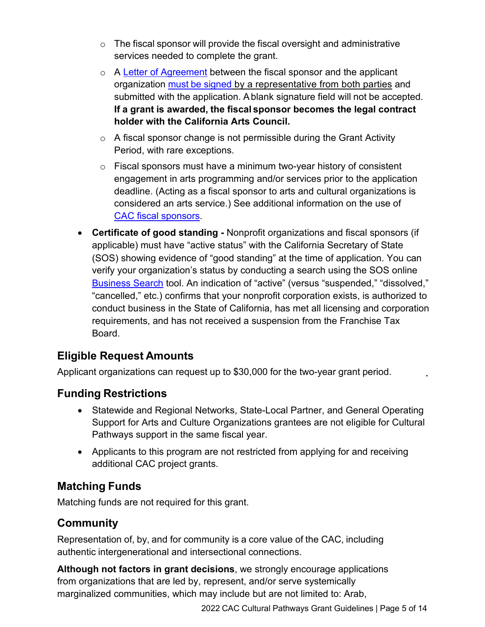- $\circ$  The fiscal sponsor will provide the fiscal oversight and administrative services needed to complete the grant.
- o A [Letter of Agreement](https://arts.ca.gov/fiscalsponsorletter/) between the fiscal sponsor and the applicant organization must [be signed](https://arts.ca.gov/definitionofasignature/) by a representative from both parties and submitted with the application. A blank signature field will not be accepted. **If a grant is awarded, the fiscal sponsor becomes the legal contract holder with the California Arts Council.**
- $\circ$  A fiscal sponsor change is not permissible during the Grant Activity Period, with rare exceptions.
- o Fiscal sponsors must have a minimum two-year history of consistent engagement in arts programming and/or services prior to the application deadline. (Acting as a fiscal sponsor to arts and cultural organizations is considered an arts service.) See additional information on the use of [CAC fiscal sponsors.](https://arts.ca.gov/fiscalsponsorpolicy/)
- **Certificate of good standing** Nonprofit organizations and fiscal sponsors (if applicable) must have "active status" with the California Secretary of State (SOS) showing evidence of "good standing" at the time of application. You can verify your organization's status by conducting a search using the SOS online [Business Search](https://businesssearch.sos.ca.gov/) tool. An indication of "active" (versus "suspended," "dissolved," "cancelled," etc.) confirms that your nonprofit corporation exists, is authorized to conduct business in the State of California, has met all licensing and corporation requirements, and has not received a suspension from the Franchise Tax Board.

# **Eligible Request Amounts**

Applicant organizations can request up to \$30,000 for the two-year grant period.

# **Funding Restrictions**

- Statewide and Regional Networks, State-Local Partner, and General Operating Support for Arts and Culture Organizations grantees are not eligible for Cultural Pathways support in the same fiscal year.
- Applicants to this program are not restricted from applying for and receiving additional CAC project grants.

# **Matching Funds**

Matching funds are not required for this grant.

# **Community**

Representation of, by, and for community is a core value of the CAC, including authentic intergenerational and intersectional connections.

**Although not factors in grant decisions**, we strongly encourage applications from organizations that are led by, represent, and/or serve systemically marginalized communities, which may include but are not limited to: Arab,

2022 CAC Cultural Pathways Grant Guidelines | Page 5 of 14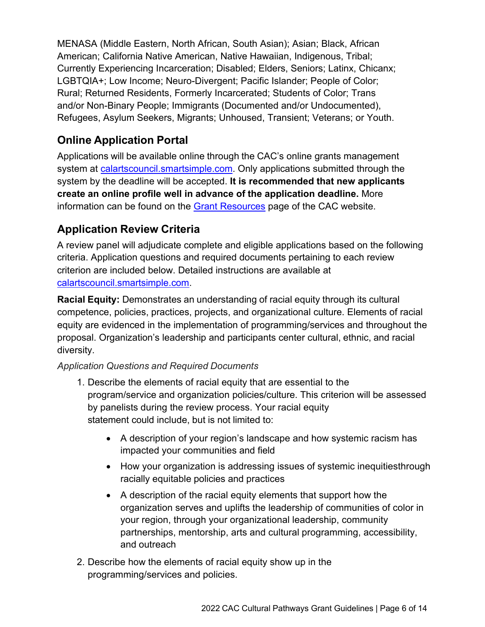MENASA (Middle Eastern, North African, South Asian); Asian; Black, African American; California Native American, Native Hawaiian, Indigenous, Tribal; Currently Experiencing Incarceration; Disabled; Elders, Seniors; Latinx, Chicanx; LGBTQIA+; Low Income; Neuro-Divergent; Pacific Islander; People of Color; Rural; Returned Residents, Formerly Incarcerated; Students of Color; Trans and/or Non-Binary People; Immigrants (Documented and/or Undocumented), Refugees, Asylum Seekers, Migrants; Unhoused, Transient; Veterans; or Youth.

# **Online Application Portal**

Applications will be available online through the CAC's online grants management system at [calartscouncil.smartsimple.com.](https://calartscouncil.smartsimple.com/s_Login.jsp) Only applications submitted through the system by the deadline will be accepted. **It is recommended that new applicants create an online profile well in advance of the application deadline.** More information can be found on the [Grant Resources](https://arts.ca.gov/grants/resources/) page of the CAC website.

# **Application Review Criteria**

A review panel will adjudicate complete and eligible applications based on the following criteria. Application questions and required documents pertaining to each review criterion are included below. Detailed instructions are available at [calartscouncil.smartsimple.com.](https://calartscouncil.smartsimple.com/s_Login.jsp)

**Racial Equity:** Demonstrates an understanding of racial equity through its cultural competence, policies, practices, projects, and organizational culture. Elements of racial equity are evidenced in the implementation of programming/services and throughout the proposal. Organization's leadership and participants center cultural, ethnic, and racial diversity.

#### *Application Questions and Required Documents*

- 1. Describe the elements of racial equity that are essential to the program/service and organization policies/culture. This criterion will be assessed by panelists during the review process. Your racial equity statement could include, but is not limited to:
	- A description of your region's landscape and how systemic racism has impacted your communities and field
	- How your organization is addressing issues of systemic inequitiesthrough racially equitable policies and practices
	- A description of the racial equity elements that support how the organization serves and uplifts the leadership of communities of color in your region, through your organizational leadership, community partnerships, mentorship, arts and cultural programming, accessibility, and outreach
- 2. Describe how the elements of racial equity show up in the programming/services and policies.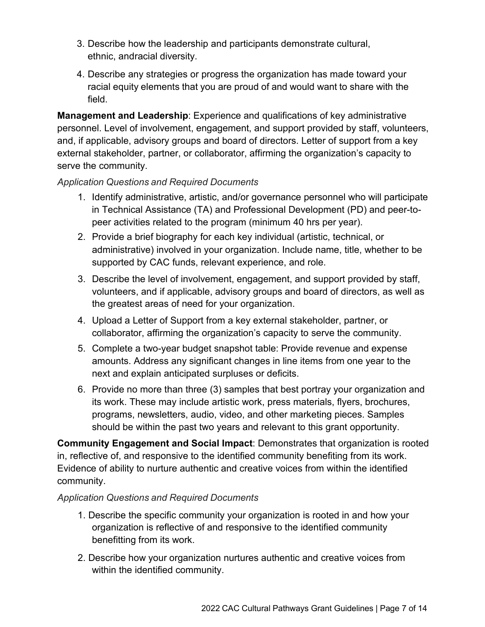- 3. Describe how the leadership and participants demonstrate cultural, ethnic, andracial diversity.
- 4. Describe any strategies or progress the organization has made toward your racial equity elements that you are proud of and would want to share with the field.

**Management and Leadership**: Experience and qualifications of key administrative personnel. Level of involvement, engagement, and support provided by staff, volunteers, and, if applicable, advisory groups and board of directors. Letter of support from a key external stakeholder, partner, or collaborator, affirming the organization's capacity to serve the community.

#### *Application Questions and Required Documents*

- 1. Identify administrative, artistic, and/or governance personnel who will participate in Technical Assistance (TA) and Professional Development (PD) and peer-topeer activities related to the program (minimum 40 hrs per year).
- 2. Provide a brief biography for each key individual (artistic, technical, or administrative) involved in your organization. Include name, title, whether to be supported by CAC funds, relevant experience, and role.
- 3. Describe the level of involvement, engagement, and support provided by staff, volunteers, and if applicable, advisory groups and board of directors, as well as the greatest areas of need for your organization.
- 4. Upload a Letter of Support from a key external stakeholder, partner, or collaborator, affirming the organization's capacity to serve the community.
- 5. Complete a two-year budget snapshot table: Provide revenue and expense amounts. Address any significant changes in line items from one year to the next and explain anticipated surpluses or deficits.
- 6. Provide no more than three (3) samples that best portray your organization and its work. These may include artistic work, press materials, flyers, brochures, programs, newsletters, audio, video, and other marketing pieces. Samples should be within the past two years and relevant to this grant opportunity.

**Community Engagement and Social Impact**: Demonstrates that organization is rooted in, reflective of, and responsive to the identified community benefiting from its work. Evidence of ability to nurture authentic and creative voices from within the identified community.

#### *Application Questions and Required Documents*

- 1. Describe the specific community your organization is rooted in and how your organization is reflective of and responsive to the identified community benefitting from its work.
- 2. Describe how your organization nurtures authentic and creative voices from within the identified community.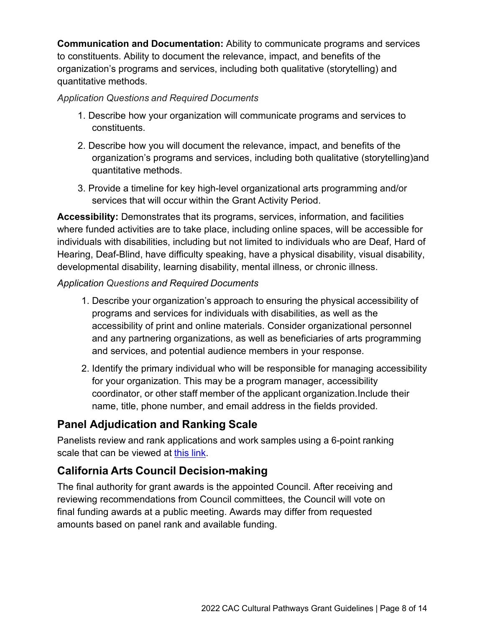**Communication and Documentation:** Ability to communicate programs and services to constituents. Ability to document the relevance, impact, and benefits of the organization's programs and services, including both qualitative (storytelling) and quantitative methods.

#### *Application Questions and Required Documents*

- 1. Describe how your organization will communicate programs and services to constituents.
- 2. Describe how you will document the relevance, impact, and benefits of the organization's programs and services, including both qualitative (storytelling)and quantitative methods.
- 3. Provide a timeline for key high-level organizational arts programming and/or services that will occur within the Grant Activity Period.

**Accessibility:** Demonstrates that its programs, services, information, and facilities where funded activities are to take place, including online spaces, will be accessible for individuals with disabilities, including but not limited to individuals who are Deaf, Hard of Hearing, Deaf-Blind, have difficulty speaking, have a physical disability, visual disability, developmental disability, learning disability, mental illness, or chronic illness.

#### *Application Questions and Required Documents*

- 1. Describe your organization's approach to ensuring the physical accessibility of programs and services for individuals with disabilities, as well as the accessibility of print and online materials. Consider organizational personnel and any partnering organizations, as well as beneficiaries of arts programming and services, and potential audience members in your response.
- 2. Identify the primary individual who will be responsible for managing accessibility for your organization. This may be a program manager, accessibility coordinator, or other staff member of the applicant organization.Include their name, title, phone number, and email address in the fields provided.

# **Panel Adjudication and Ranking Scale**

Panelists review and rank applications and work samples using a 6-point ranking scale that can be viewed at this [link.](https://arts.ca.gov/rankingguide/)

# **California Arts Council Decision-making**

The final authority for grant awards is the appointed Council. After receiving and reviewing recommendations from Council committees, the Council will vote on final funding awards at a public meeting. Awards may differ from requested amounts based on panel rank and available funding.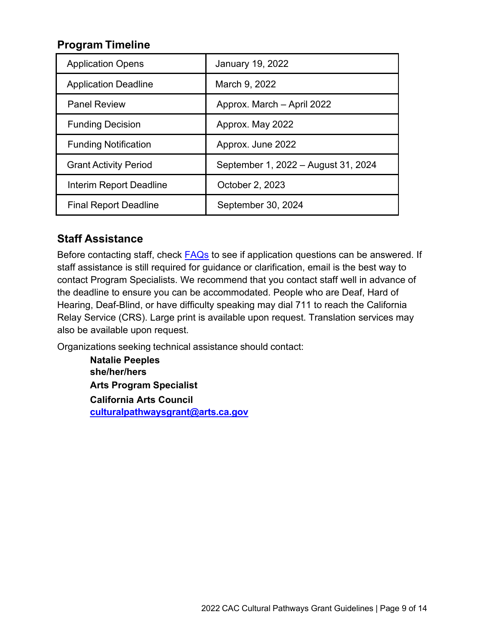# **Program Timeline**

| <b>Application Opens</b>     | <b>January 19, 2022</b>             |
|------------------------------|-------------------------------------|
| <b>Application Deadline</b>  | March 9, 2022                       |
| <b>Panel Review</b>          | Approx. March - April 2022          |
| <b>Funding Decision</b>      | Approx. May 2022                    |
| <b>Funding Notification</b>  | Approx. June 2022                   |
| <b>Grant Activity Period</b> | September 1, 2022 – August 31, 2024 |
| Interim Report Deadline      | October 2, 2023                     |
| <b>Final Report Deadline</b> | September 30, 2024                  |

# **Staff Assistance**

Before contacting staff, check **FAQs** to see if application questions can be answered. If staff assistance is still required for guidance or clarification, email is the best way to contact Program Specialists. We recommend that you contact staff well in advance of the deadline to ensure you can be accommodated. People who are Deaf, Hard of Hearing, Deaf-Blind, or have difficulty speaking may dial 711 to reach the California Relay Service (CRS). Large print is available upon request. Translation services may also be available upon request.

Organizations seeking technical assistance should contact:

**Natalie Peeples she/her/hers Arts Program Specialist California Arts Council [culturalpathwaysgrant@arts.ca.gov](mailto:culturalpathwaysgrant@arts.ca.gov)**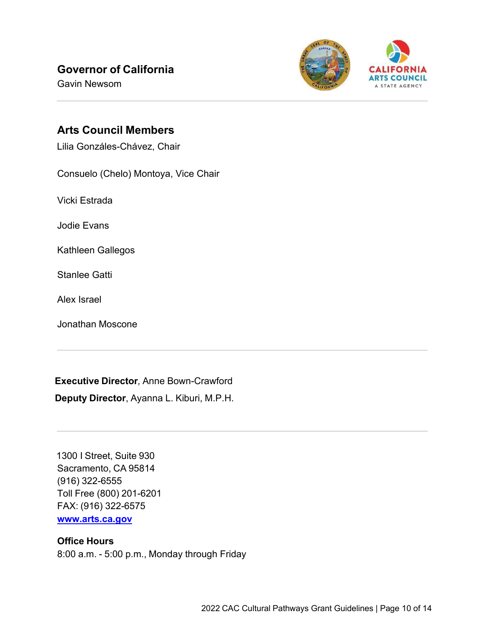# **Governor of California**

Gavin Newsom



### **Arts Council Members**

Lilia Gonzáles-Chávez, Chair

Consuelo (Chelo) Montoya, Vice Chair

Vicki Estrada

Jodie Evans

Kathleen Gallegos

Stanlee Gatti

Alex Israel

Jonathan Moscone

**Executive Director***,* Anne Bown-Crawford

**Deputy Director**, Ayanna L. Kiburi, M.P.H.

1300 I Street, Suite 930 Sacramento, CA 95814 (916) 322-6555 Toll Free (800) 201-6201 FAX: (916) 322-6575 **[www.arts.ca.gov](http://www.arts.ca.gov/)**

#### **Office Hours**

8:00 a.m. - 5:00 p.m., Monday through Friday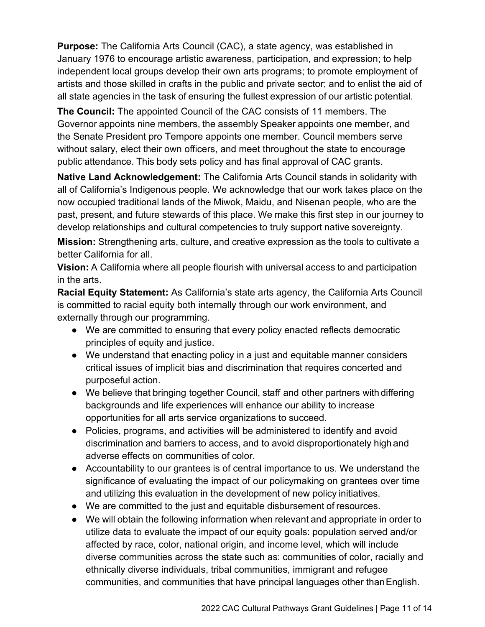**Purpose:** The California Arts Council (CAC), a state agency, was established in January 1976 to encourage artistic awareness, participation, and expression; to help independent local groups develop their own arts programs; to promote employment of artists and those skilled in crafts in the public and private sector; and to enlist the aid of all state agencies in the task of ensuring the fullest expression of our artistic potential.

**The Council:** The appointed Council of the CAC consists of 11 members. The Governor appoints nine members, the assembly Speaker appoints one member, and the Senate President pro Tempore appoints one member. Council members serve without salary, elect their own officers, and meet throughout the state to encourage public attendance. This body sets policy and has final approval of CAC grants.

**Native Land Acknowledgement:** The California Arts Council stands in solidarity with all of California's Indigenous people. We acknowledge that our work takes place on the now occupied traditional lands of the Miwok, Maidu, and Nisenan people, who are the past, present, and future stewards of this place. We make this first step in our journey to develop relationships and cultural competencies to truly support native sovereignty.

**Mission:** Strengthening arts, culture, and creative expression as the tools to cultivate a better California for all.

**Vision:** A California where all people flourish with universal access to and participation in the arts.

**Racial Equity Statement:** As California's state arts agency, the California Arts Council is committed to racial equity both internally through our work environment, and externally through our programming.

- We are committed to ensuring that every policy enacted reflects democratic principles of equity and justice.
- We understand that enacting policy in a just and equitable manner considers critical issues of implicit bias and discrimination that requires concerted and purposeful action.
- We believe that bringing together Council, staff and other partners with differing backgrounds and life experiences will enhance our ability to increase opportunities for all arts service organizations to succeed.
- Policies, programs, and activities will be administered to identify and avoid discrimination and barriers to access, and to avoid disproportionately high and adverse effects on communities of color.
- Accountability to our grantees is of central importance to us. We understand the significance of evaluating the impact of our policymaking on grantees over time and utilizing this evaluation in the development of new policy initiatives.
- We are committed to the just and equitable disbursement of resources.
- We will obtain the following information when relevant and appropriate in order to utilize data to evaluate the impact of our equity goals: population served and/or affected by race, color, national origin, and income level, which will include diverse communities across the state such as: communities of color, racially and ethnically diverse individuals, tribal communities, immigrant and refugee communities, and communities that have principal languages other thanEnglish.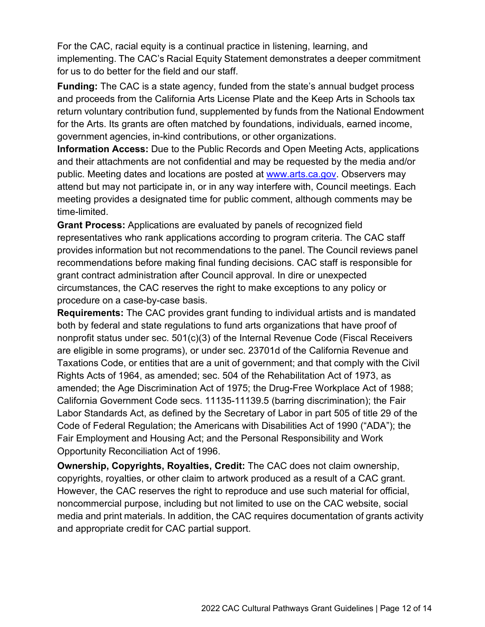For the CAC, racial equity is a continual practice in listening, learning, and implementing. The CAC's Racial Equity Statement demonstrates a deeper commitment for us to do better for the field and our staff.

**Funding:** The CAC is a state agency, funded from the state's annual budget process and proceeds from the California Arts License Plate and the Keep Arts in Schools tax return voluntary contribution fund, supplemented by funds from the National Endowment for the Arts. Its grants are often matched by foundations, individuals, earned income, government agencies, in-kind contributions, or other organizations.

**Information Access:** Due to the Public Records and Open Meeting Acts, applications and their attachments are not confidential and may be requested by the media and/or public. Meeting dates and locations are posted at [www.arts.ca.gov.](http://www.arts.ca.gov/) Observers may attend but may not participate in, or in any way interfere with, Council meetings. Each meeting provides a designated time for public comment, although comments may be time-limited.

**Grant Process:** Applications are evaluated by panels of recognized field representatives who rank applications according to program criteria. The CAC staff provides information but not recommendations to the panel. The Council reviews panel recommendations before making final funding decisions. CAC staff is responsible for grant contract administration after Council approval. In dire or unexpected circumstances, the CAC reserves the right to make exceptions to any policy or procedure on a case-by-case basis.

**Requirements:** The CAC provides grant funding to individual artists and is mandated both by federal and state regulations to fund arts organizations that have proof of nonprofit status under sec. 501(c)(3) of the Internal Revenue Code (Fiscal Receivers are eligible in some programs), or under sec. 23701d of the California Revenue and Taxations Code, or entities that are a unit of government; and that comply with the Civil Rights Acts of 1964, as amended; sec. 504 of the Rehabilitation Act of 1973, as amended; the Age Discrimination Act of 1975; the Drug-Free Workplace Act of 1988; California Government Code secs. 11135-11139.5 (barring discrimination); the Fair Labor Standards Act, as defined by the Secretary of Labor in part 505 of title 29 of the Code of Federal Regulation; the Americans with Disabilities Act of 1990 ("ADA"); the Fair Employment and Housing Act; and the Personal Responsibility and Work Opportunity Reconciliation Act of 1996.

**Ownership, Copyrights, Royalties, Credit:** The CAC does not claim ownership, copyrights, royalties, or other claim to artwork produced as a result of a CAC grant. However, the CAC reserves the right to reproduce and use such material for official, noncommercial purpose, including but not limited to use on the CAC website, social media and print materials. In addition, the CAC requires documentation of grants activity and appropriate credit for CAC partial support.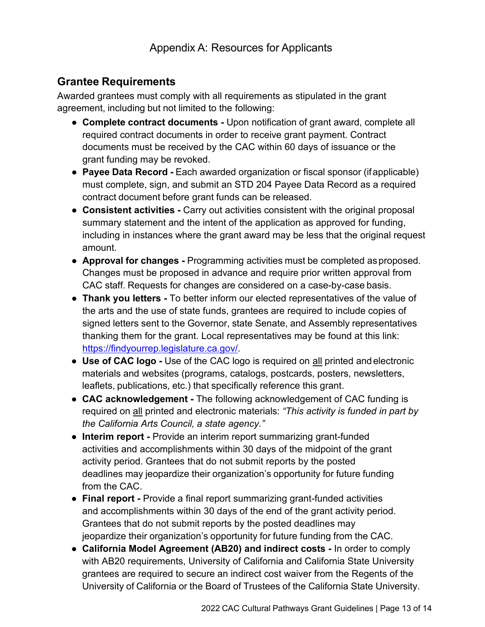# **Grantee Requirements**

Awarded grantees must comply with all requirements as stipulated in the grant agreement, including but not limited to the following:

- **Complete contract documents -** Upon notification of grant award, complete all required contract documents in order to receive grant payment. Contract documents must be received by the CAC within 60 days of issuance or the grant funding may be revoked.
- **Payee Data Record -** Each awarded organization or fiscal sponsor (ifapplicable) must complete, sign, and submit an STD 204 Payee Data Record as a required contract document before grant funds can be released.
- **Consistent activities -** Carry out activities consistent with the original proposal summary statement and the intent of the application as approved for funding, including in instances where the grant award may be less that the original request amount.
- **Approval for changes -** Programming activities must be completed asproposed. Changes must be proposed in advance and require prior written approval from CAC staff. Requests for changes are considered on a case-by-case basis.
- **Thank you letters -** To better inform our elected representatives of the value of the arts and the use of state funds, grantees are required to include copies of signed letters sent to the Governor, state Senate, and Assembly representatives thanking them for the grant. Local representatives may be found at this link: [https://findyourrep.legislature.ca.gov/.](https://findyourrep.legislature.ca.gov/)
- **Use of CAC logo -** Use of the CAC logo is required on all printed andelectronic materials and websites (programs, catalogs, postcards, posters, newsletters, leaflets, publications, etc.) that specifically reference this grant.
- **CAC acknowledgement -** The following acknowledgement of CAC funding is required on all printed and electronic materials: *"This activity is funded in part by the California Arts Council, a state agency."*
- **Interim report -** Provide an interim report summarizing grant-funded activities and accomplishments within 30 days of the midpoint of the grant activity period. Grantees that do not submit reports by the posted deadlines may jeopardize their organization's opportunity for future funding from the CAC.
- **Final report -** Provide a final report summarizing grant-funded activities and accomplishments within 30 days of the end of the grant activity period. Grantees that do not submit reports by the posted deadlines may jeopardize their organization's opportunity for future funding from the CAC.
- **California Model Agreement (AB20) and indirect costs -** In order to comply with AB20 requirements, University of California and California State University grantees are required to secure an indirect cost waiver from the Regents of the University of California or the Board of Trustees of the California State University.